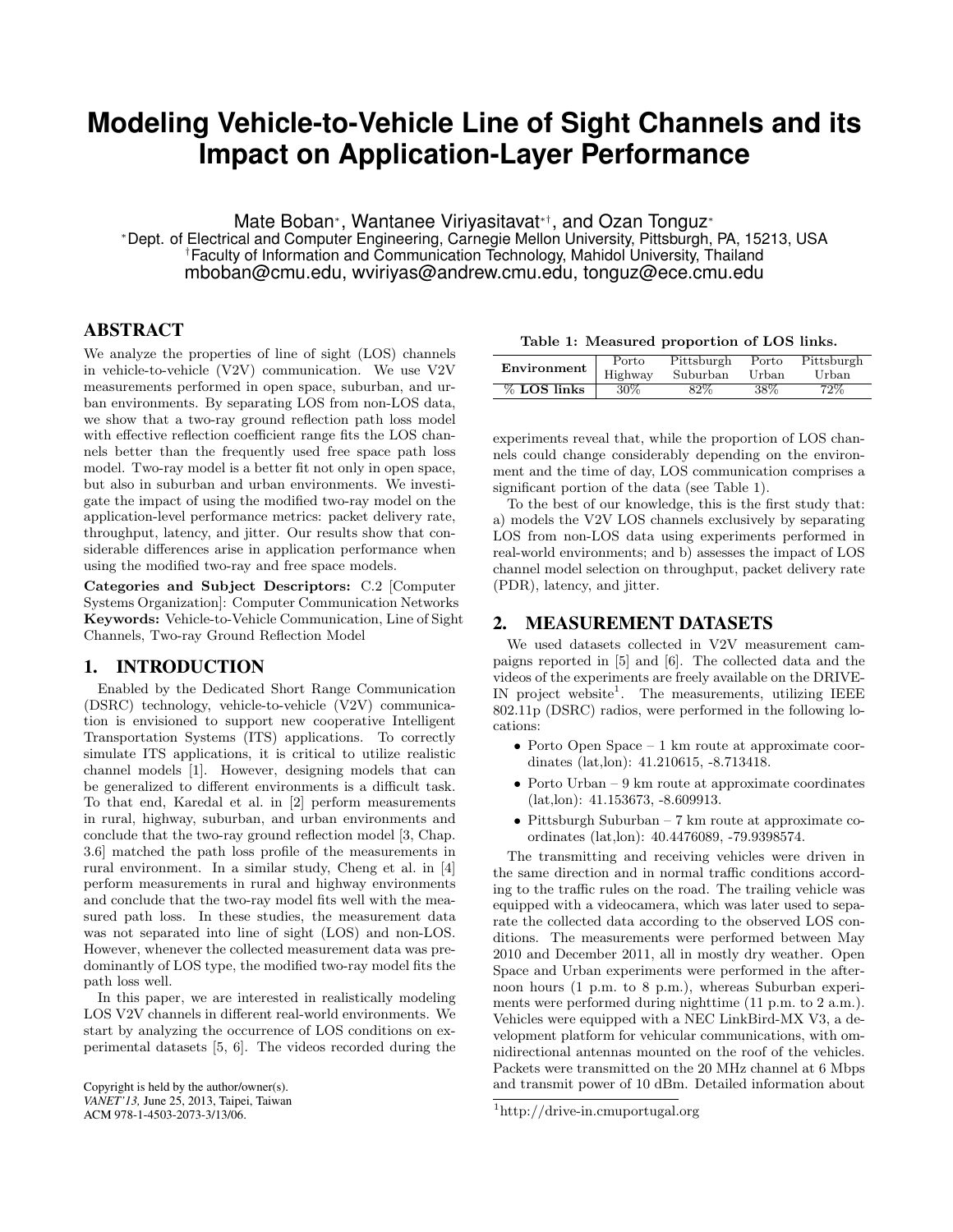# **Modeling Vehicle-to-Vehicle Line of Sight Channels and its Impact on Application-Layer Performance**

Mate Boban∗, Wantanee Viriyasitavat∗†, and Ozan Tonguz<sup>∗</sup>

<sup>∗</sup>Dept. of Electrical and Computer Engineering, Carnegie Mellon University, Pittsburgh, PA, 15213, USA †Faculty of Information and Communication Technology, Mahidol University, Thailand mboban@cmu.edu, wviriyas@andrew.cmu.edu, tonguz@ece.cmu.edu

### ABSTRACT

We analyze the properties of line of sight (LOS) channels in vehicle-to-vehicle (V2V) communication. We use V2V measurements performed in open space, suburban, and urban environments. By separating LOS from non-LOS data, we show that a two-ray ground reflection path loss model with effective reflection coefficient range fits the LOS channels better than the frequently used free space path loss model. Two-ray model is a better fit not only in open space, but also in suburban and urban environments. We investigate the impact of using the modified two-ray model on the application-level performance metrics: packet delivery rate, throughput, latency, and jitter. Our results show that considerable differences arise in application performance when using the modified two-ray and free space models.

**Categories and Subject Descriptors:** C.2 [Computer Systems Organization]: Computer Communication Networks **Keywords:** Vehicle-to-Vehicle Communication, Line of Sight Channels, Two-ray Ground Reflection Model

#### 1. INTRODUCTION

Enabled by the Dedicated Short Range Communication (DSRC) technology, vehicle-to-vehicle (V2V) communication is envisioned to support new cooperative Intelligent Transportation Systems (ITS) applications. To correctly simulate ITS applications, it is critical to utilize realistic channel models [1]. However, designing models that can be generalized to different environments is a difficult task. To that end, Karedal et al. in [2] perform measurements in rural, highway, suburban, and urban environments and conclude that the two-ray ground reflection model [3, Chap. 3.6] matched the path loss profile of the measurements in rural environment. In a similar study, Cheng et al. in [4] perform measurements in rural and highway environments and conclude that the two-ray model fits well with the measured path loss. In these studies, the measurement data was not separated into line of sight (LOS) and non-LOS. However, whenever the collected measurement data was predominantly of LOS type, the modified two-ray model fits the path loss well.

In this paper, we are interested in realistically modeling LOS V2V channels in different real-world environments. We start by analyzing the occurrence of LOS conditions on experimental datasets [5, 6]. The videos recorded during the

```
Copyright is held by the author/owner(s).
VANET'13, June 25, 2013, Taipei, Taiwan
ACM 978-1-4503-2073-3/13/06.
```

|  |  | Table 1: Measured proportion of LOS links. |  |  |  |
|--|--|--------------------------------------------|--|--|--|
|--|--|--------------------------------------------|--|--|--|

| Environment                         | Pittsburgh |
|-------------------------------------|------------|
| Highway<br>Suburban<br>Urban        | Urban      |
| $\%$ LOS links<br>30%<br>82%<br>38% | 72%        |

experiments reveal that, while the proportion of LOS channels could change considerably depending on the environment and the time of day, LOS communication comprises a significant portion of the data (see Table 1).

To the best of our knowledge, this is the first study that: a) models the V2V LOS channels exclusively by separating LOS from non-LOS data using experiments performed in real-world environments; and b) assesses the impact of LOS channel model selection on throughput, packet delivery rate (PDR), latency, and jitter.

#### 2. MEASUREMENT DATASETS

We used datasets collected in V2V measurement campaigns reported in [5] and [6]. The collected data and the videos of the experiments are freely available on the DRIVE-IN project website<sup>1</sup>. The measurements, utilizing IEEE 802.11p (DSRC) radios, were performed in the following locations:

- Porto Open Space 1 km route at approximate coordinates (lat,lon): 41.210615, -8.713418.
- Porto Urban 9 km route at approximate coordinates (lat,lon): 41.153673, -8.609913.
- Pittsburgh Suburban  $7 \text{ km}$  route at approximate coordinates (lat,lon): 40.4476089, -79.9398574.

The transmitting and receiving vehicles were driven in the same direction and in normal traffic conditions according to the traffic rules on the road. The trailing vehicle was equipped with a videocamera, which was later used to separate the collected data according to the observed LOS conditions. The measurements were performed between May 2010 and December 2011, all in mostly dry weather. Open Space and Urban experiments were performed in the afternoon hours (1 p.m. to 8 p.m.), whereas Suburban experiments were performed during nighttime (11 p.m. to 2 a.m.). Vehicles were equipped with a NEC LinkBird-MX V3, a development platform for vehicular communications, with omnidirectional antennas mounted on the roof of the vehicles. Packets were transmitted on the 20 MHz channel at 6 Mbps and transmit power of 10 dBm. Detailed information about

<sup>1</sup>http://drive-in.cmuportugal.org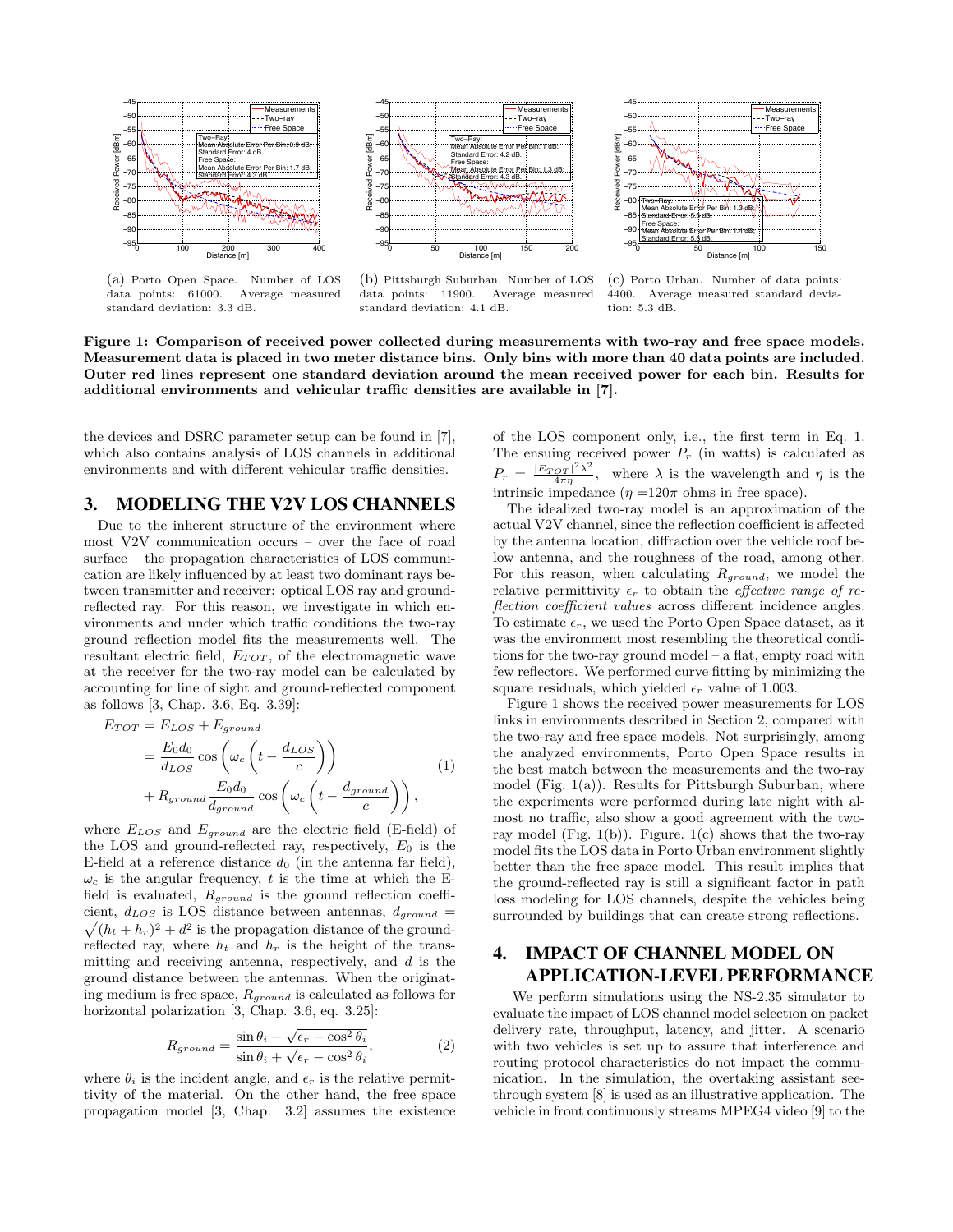

(a) Porto Open Space. Number of LOS data points: 61000. Average measured standard deviation: 3.3 dB.



(b) Pittsburgh Suburban. Number of LOS data points: 11900. Average measured standard deviation: 4.1 dB.



(c) Porto Urban. Number of data points: 4400. Average measured standard deviation: 5.3 dB.

**Figure 1: Comparison of received power collected during measurements with two-ray and free space models. Measurement data is placed in two meter distance bins. Only bins with more than 40 data points are included. Outer red lines represent one standard deviation around the mean received power for each bin. Results for additional environments and vehicular traffic densities are available in [7].**

the devices and DSRC parameter setup can be found in [7], which also contains analysis of LOS channels in additional environments and with different vehicular traffic densities.

#### 3. MODELING THE V2V LOS CHANNELS

Due to the inherent structure of the environment where most V2V communication occurs – over the face of road surface – the propagation characteristics of LOS communication are likely influenced by at least two dominant rays between transmitter and receiver: optical LOS ray and groundreflected ray. For this reason, we investigate in which environments and under which traffic conditions the two-ray ground reflection model fits the measurements well. The resultant electric field,  $E_{TOT}$ , of the electromagnetic wave at the receiver for the two-ray model can be calculated by accounting for line of sight and ground-reflected component as follows [3, Chap. 3.6, Eq. 3.39]:

$$
E_{TOT} = E_{LOS} + E_{ground}
$$
  
=  $\frac{E_0 d_0}{d_{LOS}} \cos \left(\omega_c \left(t - \frac{d_{LOS}}{c}\right)\right)$   
+  $R_{ground} \frac{E_0 d_0}{d_{ground}} \cos \left(\omega_c \left(t - \frac{d_{ground}}{c}\right)\right)$ , (1)

where  $E_{LOS}$  and  $E_{ground}$  are the electric field (E-field) of the LOS and ground-reflected ray, respectively,  $E_0$  is the E-field at a reference distance  $d_0$  (in the antenna far field),  $\omega_c$  is the angular frequency, t is the time at which the Efield is evaluated,  $R_{ground}$  is the ground reflection coefficient,  $d_{LOS}$  is LOS distance between antennas,  $d_{ground}$  =  $\sqrt{(h_t + h_r)^2 + d^2}$  is the propagation distance of the groundreflected ray, where  $h_t$  and  $h_r$  is the height of the transmitting and receiving antenna, respectively, and  $d$  is the ground distance between the antennas. When the originating medium is free space,  $R_{ground}$  is calculated as follows for horizontal polarization [3, Chap. 3.6, eq. 3.25]:

$$
R_{ground} = \frac{\sin \theta_i - \sqrt{\epsilon_r - \cos^2 \theta_i}}{\sin \theta_i + \sqrt{\epsilon_r - \cos^2 \theta_i}},\tag{2}
$$

where  $\theta_i$  is the incident angle, and  $\epsilon_r$  is the relative permittivity of the material. On the other hand, the free space propagation model [3, Chap. 3.2] assumes the existence of the LOS component only, i.e., the first term in Eq. 1. The ensuing received power  $P_r$  (in watts) is calculated as  $P_r = \frac{|E_{TOT}|^2 \lambda^2}{4 \pi \eta}$ , where  $\lambda$  is the wavelength and  $\eta$  is the intrinsic impedance  $(\eta = 120\pi \text{ ohms in free space}).$ 

The idealized two-ray model is an approximation of the actual V2V channel, since the reflection coefficient is affected by the antenna location, diffraction over the vehicle roof below antenna, and the roughness of the road, among other. For this reason, when calculating  $R_{ground}$ , we model the relative permittivity  $\epsilon_r$  to obtain the *effective range of re*flection coefficient values across different incidence angles. To estimate  $\epsilon_r$ , we used the Porto Open Space dataset, as it was the environment most resembling the theoretical conditions for the two-ray ground model – a flat, empty road with few reflectors. We performed curve fitting by minimizing the square residuals, which yielded  $\epsilon_r$  value of 1.003.

Figure 1 shows the received power measurements for LOS links in environments described in Section 2, compared with the two-ray and free space models. Not surprisingly, among the analyzed environments, Porto Open Space results in the best match between the measurements and the two-ray model (Fig. 1(a)). Results for Pittsburgh Suburban, where the experiments were performed during late night with almost no traffic, also show a good agreement with the tworay model (Fig. 1(b)). Figure,  $1(c)$  shows that the two-ray model fits the LOS data in Porto Urban environment slightly better than the free space model. This result implies that the ground-reflected ray is still a significant factor in path loss modeling for LOS channels, despite the vehicles being surrounded by buildings that can create strong reflections.

## 4. IMPACT OF CHANNEL MODEL ON APPLICATION-LEVEL PERFORMANCE

We perform simulations using the NS-2.35 simulator to evaluate the impact of LOS channel model selection on packet delivery rate, throughput, latency, and jitter. A scenario with two vehicles is set up to assure that interference and routing protocol characteristics do not impact the communication. In the simulation, the overtaking assistant seethrough system [8] is used as an illustrative application. The vehicle in front continuously streams MPEG4 video [9] to the